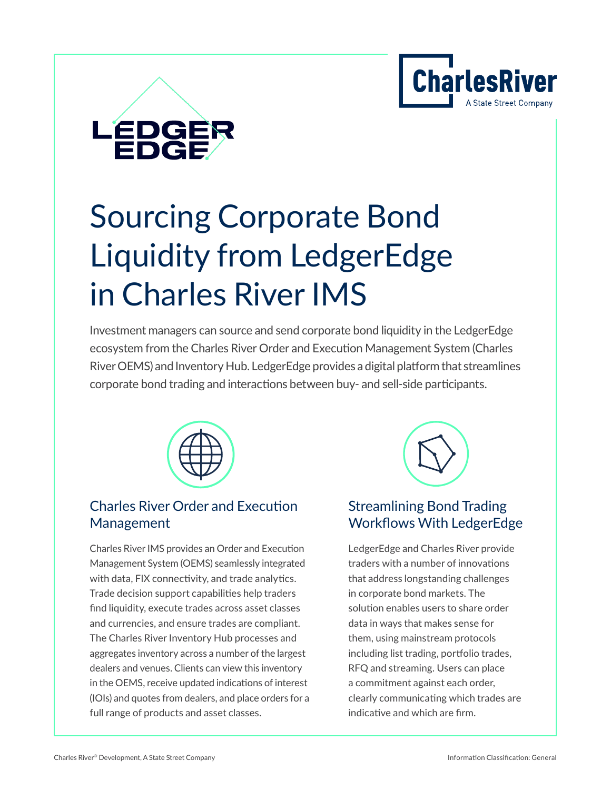



# Sourcing Corporate Bond Liquidity from LedgerEdge in Charles River IMS

Investment managers can source and send corporate bond liquidity in the LedgerEdge ecosystem from the Charles River Order and Execution Management System (Charles River OEMS) and Inventory Hub. LedgerEdge provides a digital platform that streamlines corporate bond trading and interactions between buy- and sell-side participants.



# [Charles River Order and Execution](https://www.crd.com/solutions/charles-river-trader)  Management

Charles River IMS provides an Order and Execution Management System (OEMS) seamlessly integrated with data, FIX connectivity, and trade analytics. Trade decision support capabilities help traders find liquidity, execute trades across asset classes and currencies, and ensure trades are compliant. The Charles River Inventory Hub processes and aggregates inventory across a number of the largest dealers and venues. Clients can view this inventory in the OEMS, receive updated indications of interest (IOIs) and quotes from dealers, and place orders for a full range of products and asset classes.



# Streamlining Bond Trading [Workflows With LedgerEdge](https://ledgeredge.com/platform/)

LedgerEdge and Charles River provide traders with a number of innovations that address longstanding challenges in corporate bond markets. The solution enables users to share order data in ways that makes sense for them, using mainstream protocols including list trading, portfolio trades, RFQ and streaming. Users can place a commitment against each order, clearly communicating which trades are indicative and which are firm.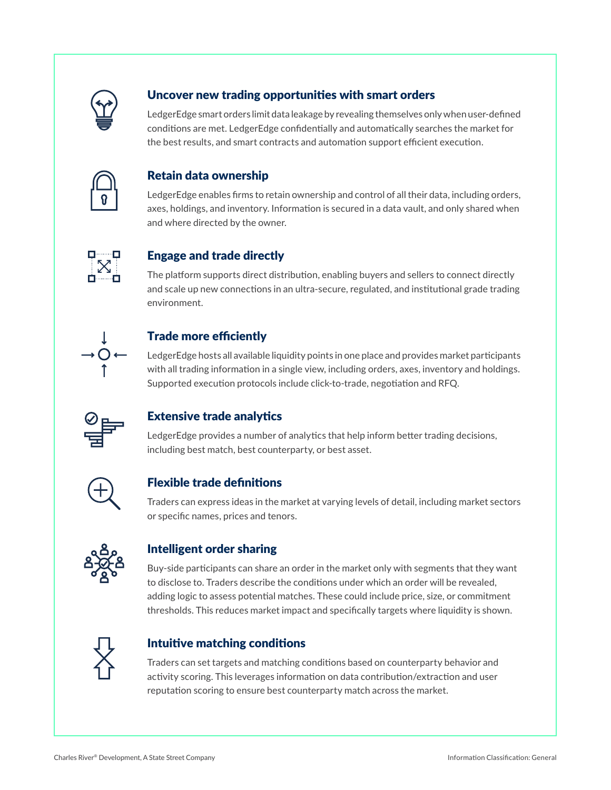

### Uncover new trading opportunities with smart orders

LedgerEdge smart orders limit data leakage by revealing themselves only when user-defined conditions are met. LedgerEdge confidentially and automatically searches the market for the best results, and smart contracts and automation support efficient execution.



#### Retain data ownership

LedgerEdge enables firms to retain ownership and control of all their data, including orders, axes, holdings, and inventory. Information is secured in a data vault, and only shared when and where directed by the owner.



#### Engage and trade directly

The platform supports direct distribution, enabling buyers and sellers to connect directly and scale up new connections in an ultra-secure, regulated, and institutional grade trading environment.



#### Trade more efficiently

LedgerEdge hosts all available liquidity points in one place and provides market participants with all trading information in a single view, including orders, axes, inventory and holdings. Supported execution protocols include click-to-trade, negotiation and RFQ.



#### Extensive trade analytics

LedgerEdge provides a number of analytics that help inform better trading decisions, including best match, best counterparty, or best asset.



#### Flexible trade definitions

Traders can express ideas in the market at varying levels of detail, including market sectors or specific names, prices and tenors.



#### Intelligent order sharing

Buy-side participants can share an order in the market only with segments that they want to disclose to. Traders describe the conditions under which an order will be revealed, adding logic to assess potential matches. These could include price, size, or commitment thresholds. This reduces market impact and specifically targets where liquidity is shown.



#### Intuitive matching conditions

Traders can set targets and matching conditions based on counterparty behavior and activity scoring. This leverages information on data contribution/extraction and user reputation scoring to ensure best counterparty match across the market.